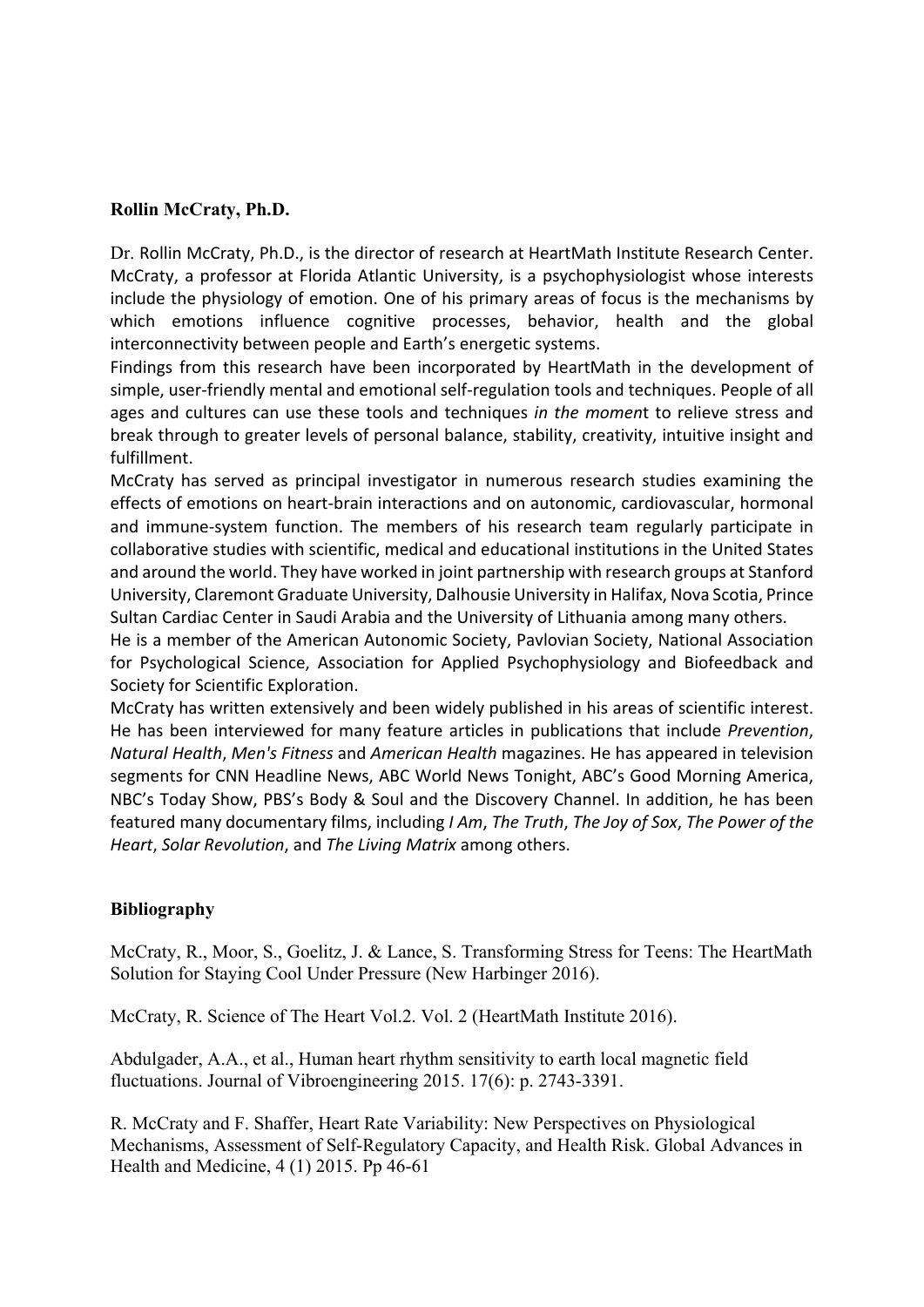## **Rollin McCraty, Ph.D.**

Dr. Rollin McCraty, Ph.D., is the director of research at HeartMath Institute Research Center. McCraty, a professor at Florida Atlantic University, is a psychophysiologist whose interests include the physiology of emotion. One of his primary areas of focus is the mechanisms by which emotions influence cognitive processes, behavior, health and the global interconnectivity between people and Earth's energetic systems.

Findings from this research have been incorporated by HeartMath in the development of simple, user-friendly mental and emotional self-regulation tools and techniques. People of all ages and cultures can use these tools and techniques *in the momen*t to relieve stress and break through to greater levels of personal balance, stability, creativity, intuitive insight and fulfillment.

McCraty has served as principal investigator in numerous research studies examining the effects of emotions on heart-brain interactions and on autonomic, cardiovascular, hormonal and immune-system function. The members of his research team regularly participate in collaborative studies with scientific, medical and educational institutions in the United States and around the world. They have worked in joint partnership with research groups at Stanford University, Claremont Graduate University, Dalhousie University in Halifax, Nova Scotia, Prince Sultan Cardiac Center in Saudi Arabia and the University of Lithuania among many others.

He is a member of the American Autonomic Society, Pavlovian Society, National Association for Psychological Science, Association for Applied Psychophysiology and Biofeedback and Society for Scientific Exploration.

McCraty has written extensively and been widely published in his areas of scientific interest. He has been interviewed for many feature articles in publications that include *Prevention*, *Natural Health, Men's Fitness* and *American Health* magazines. He has appeared in television segments for CNN Headline News, ABC World News Tonight, ABC's Good Morning America, NBC's Today Show, PBS's Body & Soul and the Discovery Channel. In addition, he has been featured many documentary films, including *I Am*, *The Truth*, *The Joy of Sox*, *The Power of the Heart, Solar Revolution, and The Living Matrix* among others.

## **Bibliography**

McCraty, R., Moor, S., Goelitz, J. & Lance, S. Transforming Stress for Teens: The HeartMath Solution for Staying Cool Under Pressure (New Harbinger 2016).

McCraty, R. Science of The Heart Vol.2. Vol. 2 (HeartMath Institute 2016).

Abdulgader, A.A., et al., Human heart rhythm sensitivity to earth local magnetic field fluctuations. Journal of Vibroengineering 2015. 17(6): p. 2743-3391.

R. McCraty and F. Shaffer, Heart Rate Variability: New Perspectives on Physiological Mechanisms, Assessment of Self-Regulatory Capacity, and Health Risk. Global Advances in Health and Medicine, 4 (1) 2015. Pp 46-61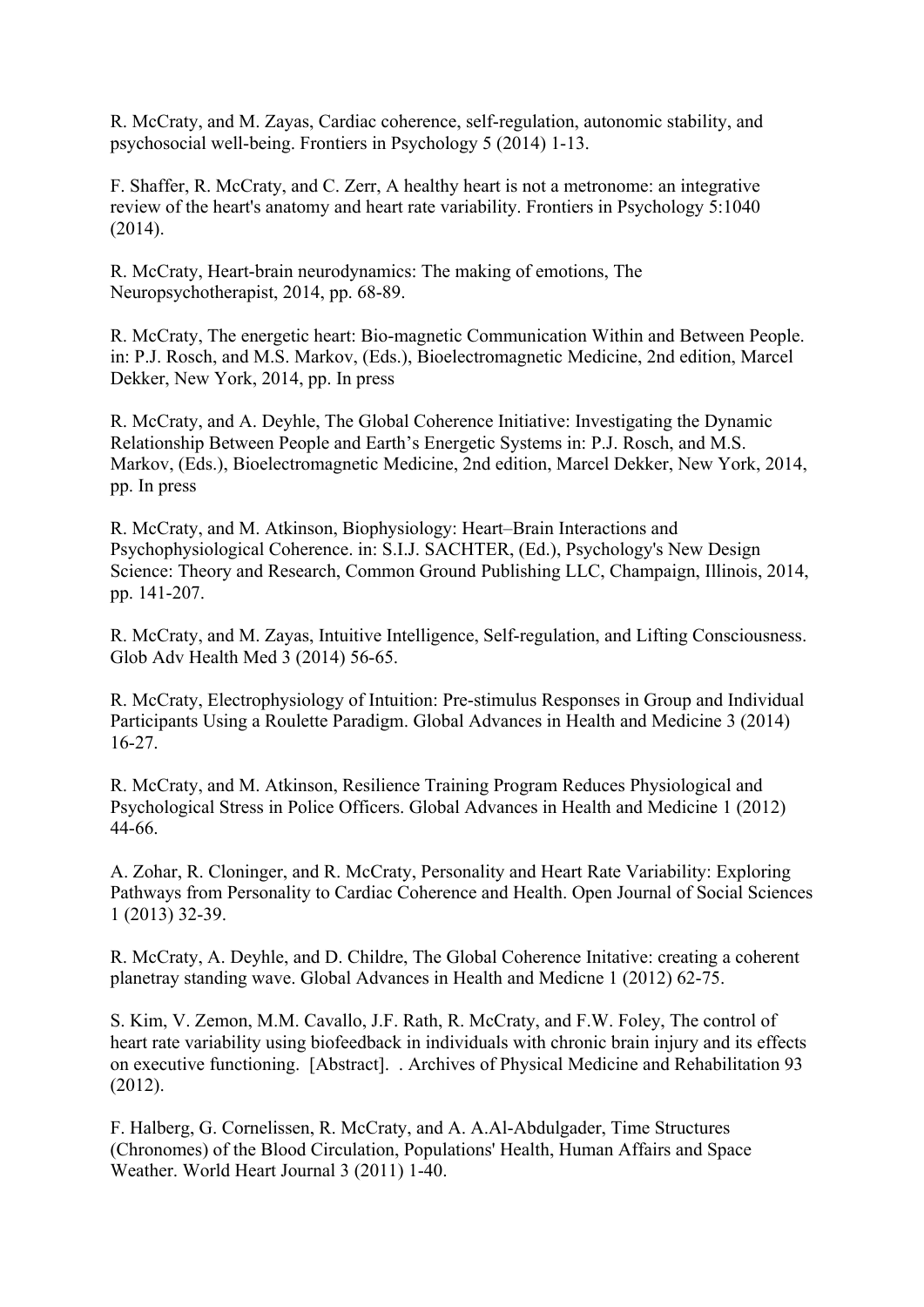R. McCraty, and M. Zayas, Cardiac coherence, self-regulation, autonomic stability, and psychosocial well-being. Frontiers in Psychology 5 (2014) 1-13.

F. Shaffer, R. McCraty, and C. Zerr, A healthy heart is not a metronome: an integrative review of the heart's anatomy and heart rate variability. Frontiers in Psychology 5:1040 (2014).

R. McCraty, Heart-brain neurodynamics: The making of emotions, The Neuropsychotherapist, 2014, pp. 68-89.

R. McCraty, The energetic heart: Bio-magnetic Communication Within and Between People. in: P.J. Rosch, and M.S. Markov, (Eds.), Bioelectromagnetic Medicine, 2nd edition, Marcel Dekker, New York, 2014, pp. In press

R. McCraty, and A. Deyhle, The Global Coherence Initiative: Investigating the Dynamic Relationship Between People and Earth's Energetic Systems in: P.J. Rosch, and M.S. Markov, (Eds.), Bioelectromagnetic Medicine, 2nd edition, Marcel Dekker, New York, 2014, pp. In press

R. McCraty, and M. Atkinson, Biophysiology: Heart–Brain Interactions and Psychophysiological Coherence. in: S.I.J. SACHTER, (Ed.), Psychology's New Design Science: Theory and Research, Common Ground Publishing LLC, Champaign, Illinois, 2014, pp. 141-207.

R. McCraty, and M. Zayas, Intuitive Intelligence, Self-regulation, and Lifting Consciousness. Glob Adv Health Med 3 (2014) 56-65.

R. McCraty, Electrophysiology of Intuition: Pre-stimulus Responses in Group and Individual Participants Using a Roulette Paradigm. Global Advances in Health and Medicine 3 (2014) 16-27.

R. McCraty, and M. Atkinson, Resilience Training Program Reduces Physiological and Psychological Stress in Police Officers. Global Advances in Health and Medicine 1 (2012) 44-66.

A. Zohar, R. Cloninger, and R. McCraty, Personality and Heart Rate Variability: Exploring Pathways from Personality to Cardiac Coherence and Health. Open Journal of Social Sciences 1 (2013) 32-39.

R. McCraty, A. Deyhle, and D. Childre, The Global Coherence Initative: creating a coherent planetray standing wave. Global Advances in Health and Medicne 1 (2012) 62-75.

S. Kim, V. Zemon, M.M. Cavallo, J.F. Rath, R. McCraty, and F.W. Foley, The control of heart rate variability using biofeedback in individuals with chronic brain injury and its effects on executive functioning. [Abstract]. . Archives of Physical Medicine and Rehabilitation 93 (2012).

F. Halberg, G. Cornelissen, R. McCraty, and A. A.Al-Abdulgader, Time Structures (Chronomes) of the Blood Circulation, Populations' Health, Human Affairs and Space Weather. World Heart Journal 3 (2011) 1-40.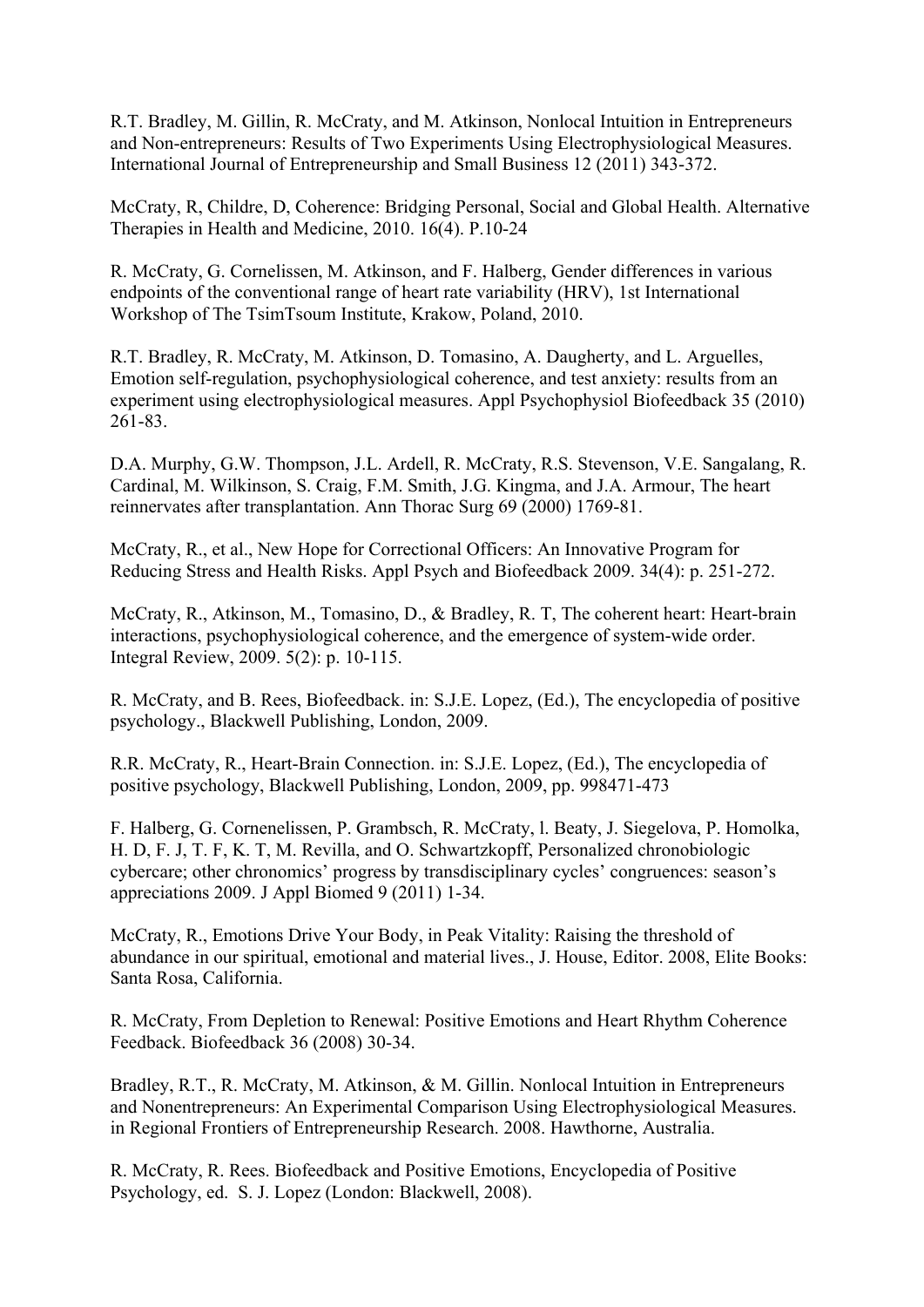R.T. Bradley, M. Gillin, R. McCraty, and M. Atkinson, Nonlocal Intuition in Entrepreneurs and Non-entrepreneurs: Results of Two Experiments Using Electrophysiological Measures. International Journal of Entrepreneurship and Small Business 12 (2011) 343-372.

McCraty, R, Childre, D, Coherence: Bridging Personal, Social and Global Health. Alternative Therapies in Health and Medicine, 2010. 16(4). P.10-24

R. McCraty, G. Cornelissen, M. Atkinson, and F. Halberg, Gender differences in various endpoints of the conventional range of heart rate variability (HRV), 1st International Workshop of The TsimTsoum Institute, Krakow, Poland, 2010.

R.T. Bradley, R. McCraty, M. Atkinson, D. Tomasino, A. Daugherty, and L. Arguelles, Emotion self-regulation, psychophysiological coherence, and test anxiety: results from an experiment using electrophysiological measures. Appl Psychophysiol Biofeedback 35 (2010) 261-83.

D.A. Murphy, G.W. Thompson, J.L. Ardell, R. McCraty, R.S. Stevenson, V.E. Sangalang, R. Cardinal, M. Wilkinson, S. Craig, F.M. Smith, J.G. Kingma, and J.A. Armour, The heart reinnervates after transplantation. Ann Thorac Surg 69 (2000) 1769-81.

McCraty, R., et al., New Hope for Correctional Officers: An Innovative Program for Reducing Stress and Health Risks. Appl Psych and Biofeedback 2009. 34(4): p. 251-272.

McCraty, R., Atkinson, M., Tomasino, D., & Bradley, R. T, The coherent heart: Heart-brain interactions, psychophysiological coherence, and the emergence of system-wide order. Integral Review, 2009. 5(2): p. 10-115.

R. McCraty, and B. Rees, Biofeedback. in: S.J.E. Lopez, (Ed.), The encyclopedia of positive psychology., Blackwell Publishing, London, 2009.

R.R. McCraty, R., Heart-Brain Connection. in: S.J.E. Lopez, (Ed.), The encyclopedia of positive psychology, Blackwell Publishing, London, 2009, pp. 998471-473

F. Halberg, G. Cornenelissen, P. Grambsch, R. McCraty, l. Beaty, J. Siegelova, P. Homolka, H. D, F. J, T. F, K. T, M. Revilla, and O. Schwartzkopff, Personalized chronobiologic cybercare; other chronomics' progress by transdisciplinary cycles' congruences: season's appreciations 2009. J Appl Biomed 9 (2011) 1-34.

McCraty, R., Emotions Drive Your Body, in Peak Vitality: Raising the threshold of abundance in our spiritual, emotional and material lives., J. House, Editor. 2008, Elite Books: Santa Rosa, California.

R. McCraty, From Depletion to Renewal: Positive Emotions and Heart Rhythm Coherence Feedback. Biofeedback 36 (2008) 30-34.

Bradley, R.T., R. McCraty, M. Atkinson, & M. Gillin. Nonlocal Intuition in Entrepreneurs and Nonentrepreneurs: An Experimental Comparison Using Electrophysiological Measures. in Regional Frontiers of Entrepreneurship Research. 2008. Hawthorne, Australia.

R. McCraty, R. Rees. Biofeedback and Positive Emotions, Encyclopedia of Positive Psychology, ed. S. J. Lopez (London: Blackwell, 2008).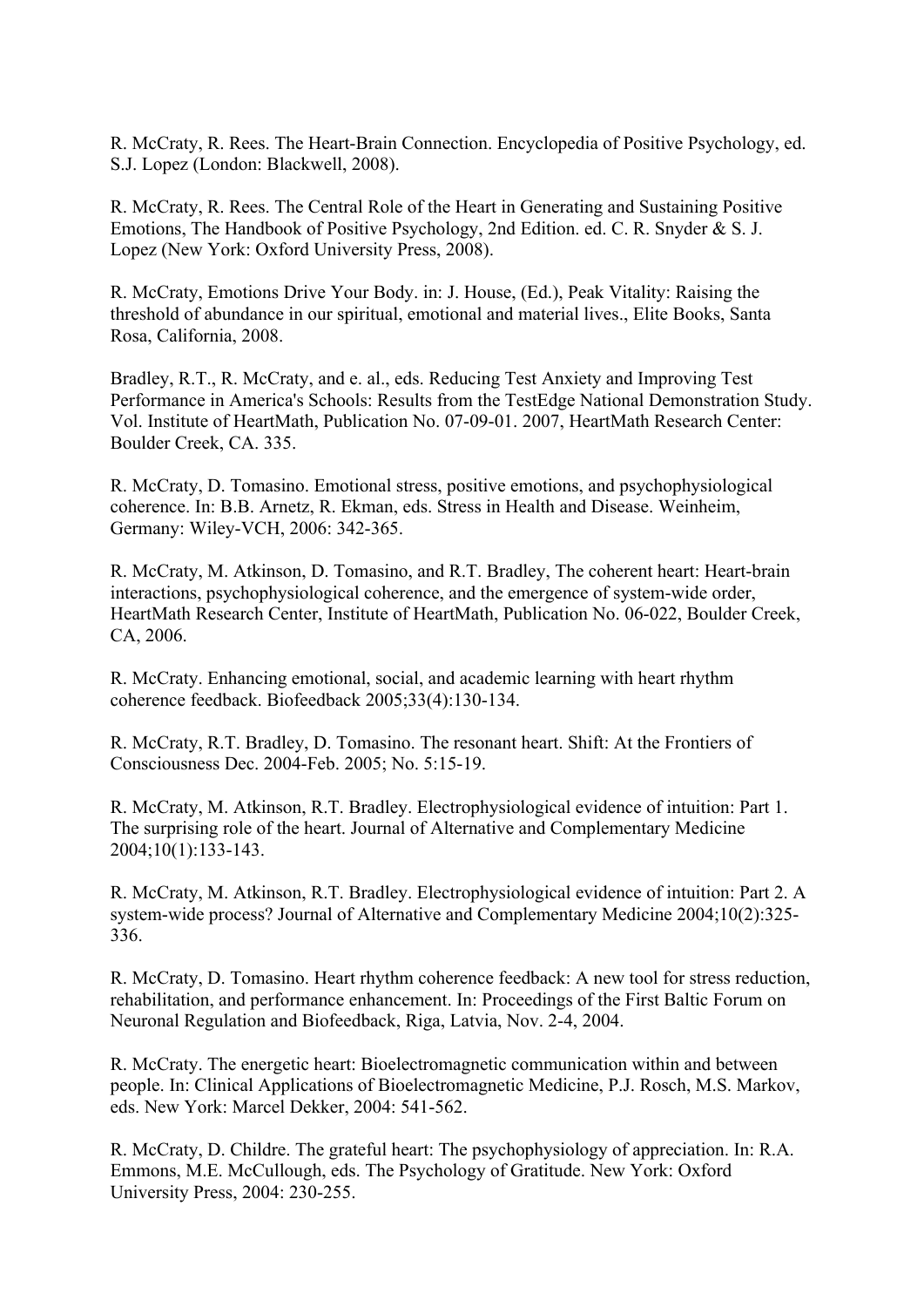R. McCraty, R. Rees. The Heart-Brain Connection. Encyclopedia of Positive Psychology, ed. S.J. Lopez (London: Blackwell, 2008).

R. McCraty, R. Rees. The Central Role of the Heart in Generating and Sustaining Positive Emotions, The Handbook of Positive Psychology, 2nd Edition. ed. C. R. Snyder & S. J. Lopez (New York: Oxford University Press, 2008).

R. McCraty, Emotions Drive Your Body. in: J. House, (Ed.), Peak Vitality: Raising the threshold of abundance in our spiritual, emotional and material lives., Elite Books, Santa Rosa, California, 2008.

Bradley, R.T., R. McCraty, and e. al., eds. Reducing Test Anxiety and Improving Test Performance in America's Schools: Results from the TestEdge National Demonstration Study. Vol. Institute of HeartMath, Publication No. 07-09-01. 2007, HeartMath Research Center: Boulder Creek, CA. 335.

R. McCraty, D. Tomasino. Emotional stress, positive emotions, and psychophysiological coherence. In: B.B. Arnetz, R. Ekman, eds. Stress in Health and Disease. Weinheim, Germany: Wiley-VCH, 2006: 342-365.

R. McCraty, M. Atkinson, D. Tomasino, and R.T. Bradley, The coherent heart: Heart-brain interactions, psychophysiological coherence, and the emergence of system-wide order, HeartMath Research Center, Institute of HeartMath, Publication No. 06-022, Boulder Creek, CA, 2006.

R. McCraty. Enhancing emotional, social, and academic learning with heart rhythm coherence feedback. Biofeedback 2005;33(4):130-134.

R. McCraty, R.T. Bradley, D. Tomasino. The resonant heart. Shift: At the Frontiers of Consciousness Dec. 2004-Feb. 2005; No. 5:15-19.

R. McCraty, M. Atkinson, R.T. Bradley. Electrophysiological evidence of intuition: Part 1. The surprising role of the heart. Journal of Alternative and Complementary Medicine 2004;10(1):133-143.

R. McCraty, M. Atkinson, R.T. Bradley. Electrophysiological evidence of intuition: Part 2. A system-wide process? Journal of Alternative and Complementary Medicine 2004;10(2):325- 336.

R. McCraty, D. Tomasino. Heart rhythm coherence feedback: A new tool for stress reduction, rehabilitation, and performance enhancement. In: Proceedings of the First Baltic Forum on Neuronal Regulation and Biofeedback, Riga, Latvia, Nov. 2-4, 2004.

R. McCraty. The energetic heart: Bioelectromagnetic communication within and between people. In: Clinical Applications of Bioelectromagnetic Medicine, P.J. Rosch, M.S. Markov, eds. New York: Marcel Dekker, 2004: 541-562.

R. McCraty, D. Childre. The grateful heart: The psychophysiology of appreciation. In: R.A. Emmons, M.E. McCullough, eds. The Psychology of Gratitude. New York: Oxford University Press, 2004: 230-255.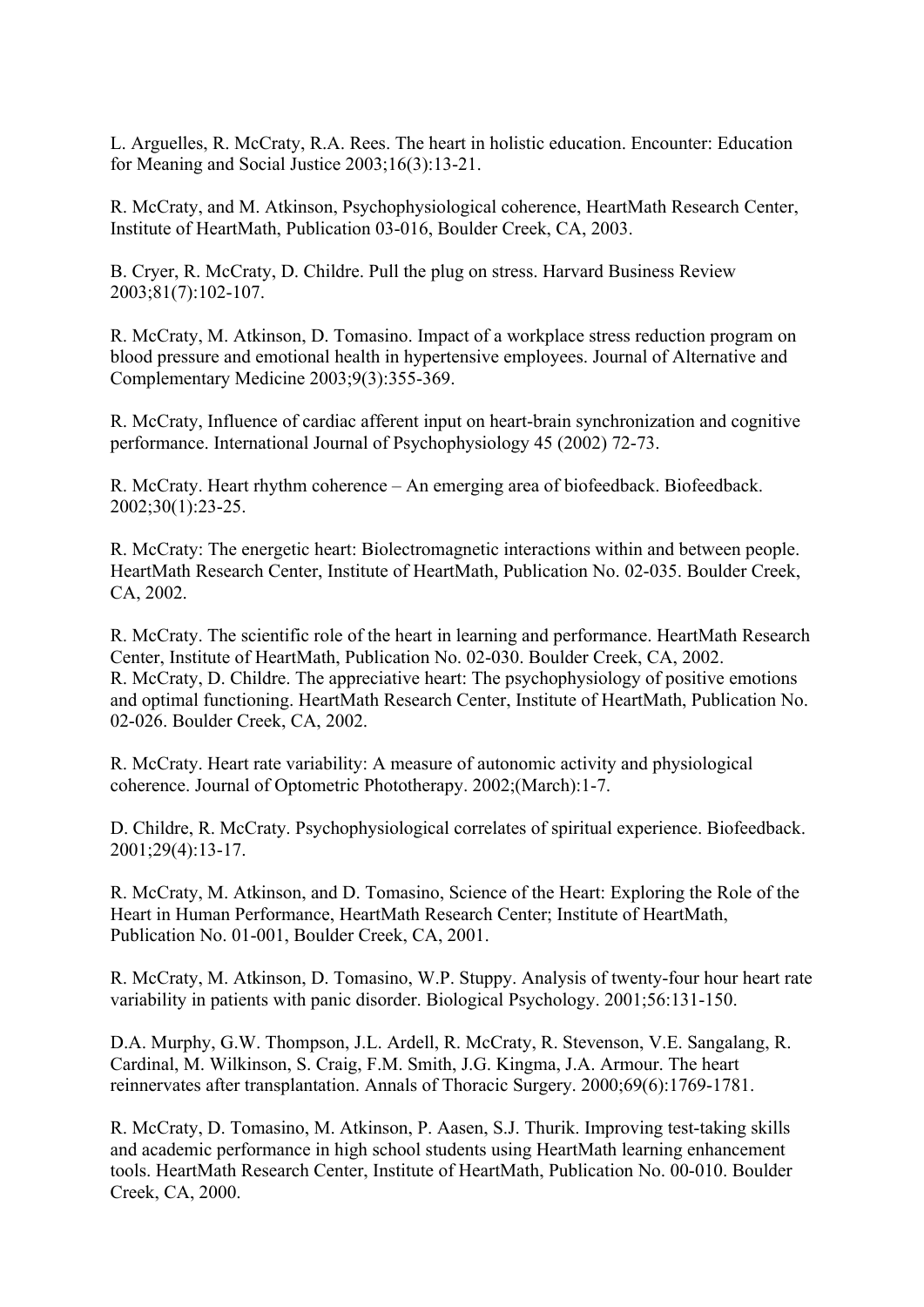L. Arguelles, R. McCraty, R.A. Rees. The heart in holistic education. Encounter: Education for Meaning and Social Justice 2003;16(3):13-21.

R. McCraty, and M. Atkinson, Psychophysiological coherence, HeartMath Research Center, Institute of HeartMath, Publication 03-016, Boulder Creek, CA, 2003.

B. Cryer, R. McCraty, D. Childre. Pull the plug on stress. Harvard Business Review 2003;81(7):102-107.

R. McCraty, M. Atkinson, D. Tomasino. Impact of a workplace stress reduction program on blood pressure and emotional health in hypertensive employees. Journal of Alternative and Complementary Medicine 2003;9(3):355-369.

R. McCraty, Influence of cardiac afferent input on heart-brain synchronization and cognitive performance. International Journal of Psychophysiology 45 (2002) 72-73.

R. McCraty. Heart rhythm coherence – An emerging area of biofeedback. Biofeedback. 2002;30(1):23-25.

R. McCraty: The energetic heart: Biolectromagnetic interactions within and between people. HeartMath Research Center, Institute of HeartMath, Publication No. 02-035. Boulder Creek, CA, 2002.

R. McCraty. The scientific role of the heart in learning and performance. HeartMath Research Center, Institute of HeartMath, Publication No. 02-030. Boulder Creek, CA, 2002. R. McCraty, D. Childre. The appreciative heart: The psychophysiology of positive emotions and optimal functioning. HeartMath Research Center, Institute of HeartMath, Publication No. 02-026. Boulder Creek, CA, 2002.

R. McCraty. Heart rate variability: A measure of autonomic activity and physiological coherence. Journal of Optometric Phototherapy. 2002;(March):1-7.

D. Childre, R. McCraty. Psychophysiological correlates of spiritual experience. Biofeedback. 2001;29(4):13-17.

R. McCraty, M. Atkinson, and D. Tomasino, Science of the Heart: Exploring the Role of the Heart in Human Performance, HeartMath Research Center; Institute of HeartMath, Publication No. 01-001, Boulder Creek, CA, 2001.

R. McCraty, M. Atkinson, D. Tomasino, W.P. Stuppy. Analysis of twenty-four hour heart rate variability in patients with panic disorder. Biological Psychology. 2001;56:131-150.

D.A. Murphy, G.W. Thompson, J.L. Ardell, R. McCraty, R. Stevenson, V.E. Sangalang, R. Cardinal, M. Wilkinson, S. Craig, F.M. Smith, J.G. Kingma, J.A. Armour. The heart reinnervates after transplantation. Annals of Thoracic Surgery. 2000;69(6):1769-1781.

R. McCraty, D. Tomasino, M. Atkinson, P. Aasen, S.J. Thurik. Improving test-taking skills and academic performance in high school students using HeartMath learning enhancement tools. HeartMath Research Center, Institute of HeartMath, Publication No. 00-010. Boulder Creek, CA, 2000.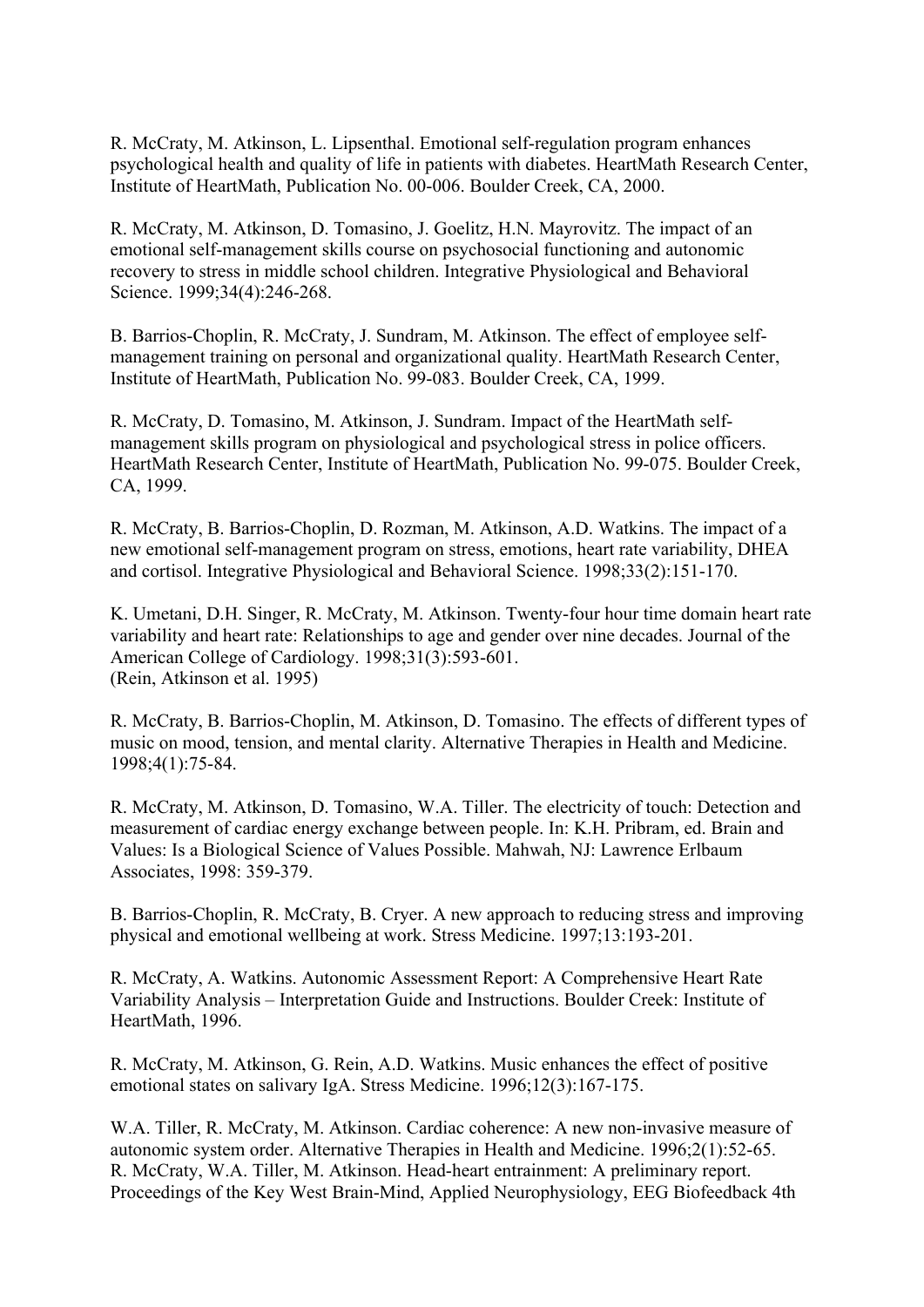R. McCraty, M. Atkinson, L. Lipsenthal. Emotional self-regulation program enhances psychological health and quality of life in patients with diabetes. HeartMath Research Center, Institute of HeartMath, Publication No. 00-006. Boulder Creek, CA, 2000.

R. McCraty, M. Atkinson, D. Tomasino, J. Goelitz, H.N. Mayrovitz. The impact of an emotional self-management skills course on psychosocial functioning and autonomic recovery to stress in middle school children. Integrative Physiological and Behavioral Science. 1999;34(4):246-268.

B. Barrios-Choplin, R. McCraty, J. Sundram, M. Atkinson. The effect of employee selfmanagement training on personal and organizational quality. HeartMath Research Center, Institute of HeartMath, Publication No. 99-083. Boulder Creek, CA, 1999.

R. McCraty, D. Tomasino, M. Atkinson, J. Sundram. Impact of the HeartMath selfmanagement skills program on physiological and psychological stress in police officers. HeartMath Research Center, Institute of HeartMath, Publication No. 99-075. Boulder Creek, CA, 1999.

R. McCraty, B. Barrios-Choplin, D. Rozman, M. Atkinson, A.D. Watkins. The impact of a new emotional self-management program on stress, emotions, heart rate variability, DHEA and cortisol. Integrative Physiological and Behavioral Science. 1998;33(2):151-170.

K. Umetani, D.H. Singer, R. McCraty, M. Atkinson. Twenty-four hour time domain heart rate variability and heart rate: Relationships to age and gender over nine decades. Journal of the American College of Cardiology. 1998;31(3):593-601. (Rein, Atkinson et al. 1995)

R. McCraty, B. Barrios-Choplin, M. Atkinson, D. Tomasino. The effects of different types of music on mood, tension, and mental clarity. Alternative Therapies in Health and Medicine. 1998;4(1):75-84.

R. McCraty, M. Atkinson, D. Tomasino, W.A. Tiller. The electricity of touch: Detection and measurement of cardiac energy exchange between people. In: K.H. Pribram, ed. Brain and Values: Is a Biological Science of Values Possible. Mahwah, NJ: Lawrence Erlbaum Associates, 1998: 359-379.

B. Barrios-Choplin, R. McCraty, B. Cryer. A new approach to reducing stress and improving physical and emotional wellbeing at work. Stress Medicine. 1997;13:193-201.

R. McCraty, A. Watkins. Autonomic Assessment Report: A Comprehensive Heart Rate Variability Analysis – Interpretation Guide and Instructions. Boulder Creek: Institute of HeartMath, 1996.

R. McCraty, M. Atkinson, G. Rein, A.D. Watkins. Music enhances the effect of positive emotional states on salivary IgA. Stress Medicine. 1996;12(3):167-175.

W.A. Tiller, R. McCraty, M. Atkinson. Cardiac coherence: A new non-invasive measure of autonomic system order. Alternative Therapies in Health and Medicine. 1996;2(1):52-65. R. McCraty, W.A. Tiller, M. Atkinson. Head-heart entrainment: A preliminary report. Proceedings of the Key West Brain-Mind, Applied Neurophysiology, EEG Biofeedback 4th